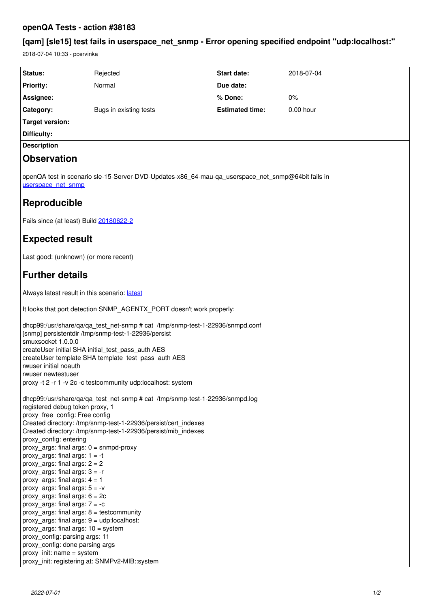# **openQA Tests - action #38183**

# **[qam] [sle15] test fails in userspace\_net\_snmp - Error opening specified endpoint "udp:localhost:"**

2018-07-04 10:33 - pcervinka

| Status:                                                                                                                                                    | Rejected               | Start date:            | 2018-07-04 |
|------------------------------------------------------------------------------------------------------------------------------------------------------------|------------------------|------------------------|------------|
| <b>Priority:</b>                                                                                                                                           | Normal                 | Due date:              |            |
| Assignee:                                                                                                                                                  |                        | % Done:                | 0%         |
| Category:                                                                                                                                                  | Bugs in existing tests | <b>Estimated time:</b> | 0.00 hour  |
| <b>Target version:</b>                                                                                                                                     |                        |                        |            |
| <b>Difficulty:</b>                                                                                                                                         |                        |                        |            |
| <b>Description</b>                                                                                                                                         |                        |                        |            |
| <b>Observation</b>                                                                                                                                         |                        |                        |            |
| openQA test in scenario sle-15-Server-DVD-Updates-x86 64-mau-qa userspace net snmp@64bit fails in<br>userspace_net_snmp                                    |                        |                        |            |
| Reproducible                                                                                                                                               |                        |                        |            |
| Fails since (at least) Build 20180622-2                                                                                                                    |                        |                        |            |
| <b>Expected result</b>                                                                                                                                     |                        |                        |            |
| Last good: (unknown) (or more recent)                                                                                                                      |                        |                        |            |
| <b>Further details</b>                                                                                                                                     |                        |                        |            |
| Always latest result in this scenario: latest                                                                                                              |                        |                        |            |
| It looks that port detection SNMP_AGENTX_PORT doesn't work properly:                                                                                       |                        |                        |            |
| dhcp99:/usr/share/qa/qa_test_net-snmp # cat /tmp/snmp-test-1-22936/snmpd.conf<br>[snmp] persistentdir /tmp/snmp-test-1-22936/persist<br>smuxsocket 1.0.0.0 |                        |                        |            |

createUser initial SHA initial test pass auth AES createUser template SHA template\_test\_pass\_auth AES

rwuser initial noauth

rwuser newtestuser

proxy -t 2 -r 1 -v 2c -c testcommunity udp:localhost: system

dhcp99:/usr/share/qa/qa\_test\_net-snmp # cat /tmp/snmp-test-1-22936/snmpd.log registered debug token proxy, 1 proxy\_free\_config: Free config Created directory: /tmp/snmp-test-1-22936/persist/cert\_indexes Created directory: /tmp/snmp-test-1-22936/persist/mib\_indexes proxy\_config: entering proxy  $\arg s$ : final  $\arg s$ : 0 = snmpd-proxy proxy args: final args:  $1 = -t$ proxy args: final args:  $2 = 2$ proxy args: final args:  $3 = -r$ proxy args: final args:  $4 = 1$ proxy args: final args:  $5 = -v$ proxy args: final args:  $6 = 2c$ proxy args: final args:  $7 = -c$ proxy  $args: final args: 8 = testcommunity$ proxy  $args: final args: 9 = udp:localhost:$ proxy args: final args:  $10 =$  system proxy\_config: parsing args: 11 proxy\_config: done parsing args proxy\_init: name = system proxy\_init: registering at: SNMPv2-MIB::system